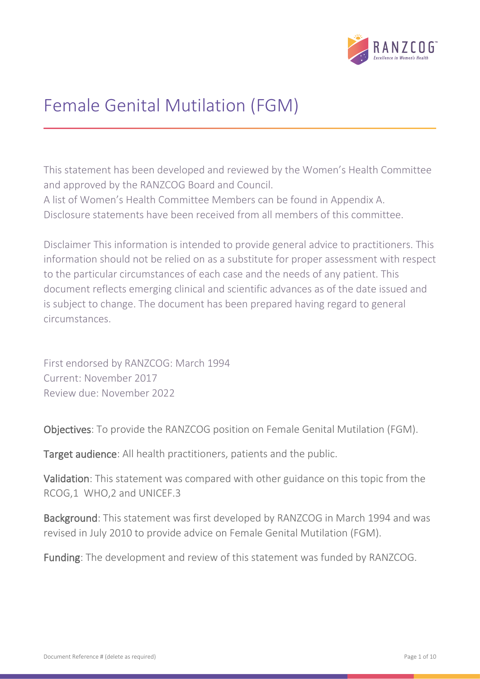

# Female Genital Mutilation (FGM)

This statement has been developed and reviewed by the Women's Health Committee and approved by the RANZCOG Board and Council. A list of Women's Health Committee Members can be found in Appendix A. Disclosure statements have been received from all members of this committee.

Disclaimer This information is intended to provide general advice to practitioners. This information should not be relied on as a substitute for proper assessment with respect to the particular circumstances of each case and the needs of any patient. This document reflects emerging clinical and scientific advances as of the date issued and is subject to change. The document has been prepared having regard to general circumstances.

First endorsed by RANZCOG: March 1994 Current: November 2017 Review due: November 2022

Objectives: To provide the RANZCOG position on Female Genital Mutilation (FGM).

Target audience: All health practitioners, patients and the public.

Validation: This statement was compared with other guidance on this topic from the RCOG,1 WHO,2 and UNICEF.3

Background: This statement was first developed by RANZCOG in March 1994 and was revised in July 2010 to provide advice on Female Genital Mutilation (FGM).

Funding: The development and review of this statement was funded by RANZCOG.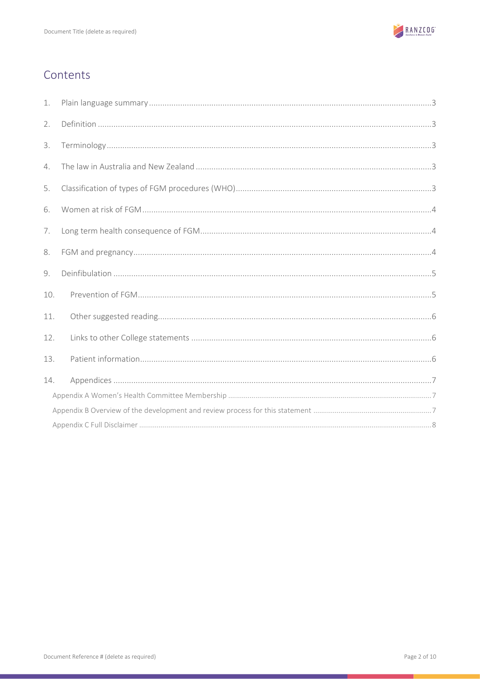

# Contents

| 1.  |  |  |  |  |  |  |
|-----|--|--|--|--|--|--|
| 2.  |  |  |  |  |  |  |
| 3.  |  |  |  |  |  |  |
| 4.  |  |  |  |  |  |  |
| 5.  |  |  |  |  |  |  |
| 6.  |  |  |  |  |  |  |
| 7.  |  |  |  |  |  |  |
| 8.  |  |  |  |  |  |  |
| 9.  |  |  |  |  |  |  |
| 10. |  |  |  |  |  |  |
| 11. |  |  |  |  |  |  |
| 12. |  |  |  |  |  |  |
| 13. |  |  |  |  |  |  |
| 14. |  |  |  |  |  |  |
|     |  |  |  |  |  |  |
|     |  |  |  |  |  |  |
|     |  |  |  |  |  |  |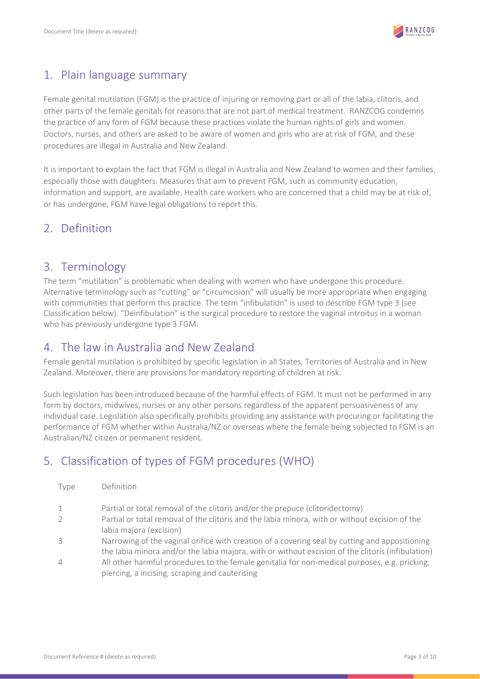

### <span id="page-2-0"></span>1. Plain language summary

Female genital mutilation (FGM) is the practice of injuring or removing part or all of the labia, clitoris, and other parts of the female genitals for reasons that are not part of medical treatment. RANZCOG condemns the practice of any form of FGM because these practices violate the human rights of girls and women. Doctors, nurses, and others are asked to be aware of women and girls who are at risk of FGM, and these procedures are illegal in Australia and New Zealand.

It is important to explain the fact that FGM is illegal in Australia and New Zealand to women and their families, especially those with daughters. Measures that aim to prevent FGM, such as community education, information and support, are available. Health care workers who are concerned that a child may be at risk of, or has undergone, FGM have legal obligations to report this.

# <span id="page-2-1"></span>2. Definition

### <span id="page-2-2"></span>3. Terminology

The term "mutilation" is problematic when dealing with women who have undergone this procedure. Alternative terminology such as "cutting" or "circumcision" will usually be more appropriate when engaging with communities that perform this practice. The term "infibulation" is used to describe FGM type 3 (see Classification below). "Deinfibulation" is the surgical procedure to restore the vaginal introitus in a woman who has previously undergone type 3 FGM.

### <span id="page-2-3"></span>4. The law in Australia and New Zealand

Female genital mutilation is prohibited by specific legislation in all States, Territories of Australia and in New Zealand. Moreover, there are provisions for mandatory reporting of children at risk.

Such legislation has been introduced because of the harmful effects of FGM. It must not be performed in any form by doctors, midwives, nurses or any other persons regardless of the apparent persuasiveness of any individual case. Legislation also specifically prohibits providing any assistance with procuring or facilitating the performance of FGM whether within Australia/NZ or overseas where the female being subjected to FGM is an Australian/NZ citizen or permanent resident.

# <span id="page-2-4"></span>5. Classification of types of FGM procedures (WHO)

| Type           | Definition                                                                                                                                                                                          |
|----------------|-----------------------------------------------------------------------------------------------------------------------------------------------------------------------------------------------------|
| 1              | Partial or total removal of the clitoris and/or the prepuce (clitoridectomy)                                                                                                                        |
| $\overline{2}$ | Partial or total removal of the clitoris and the labia minora, with or without excision of the<br>labia majora (excision)                                                                           |
| 3              | Narrowing of the vaginal orifice with creation of a covering seal by cutting and appositioning<br>the labia minora and/or the labia majora, with or without excision of the clitoris (infibulation) |
| $\overline{4}$ | All other harmful procedures to the female genitalia for non-medical purposes, e.g. pricking,<br>piercing, a incising, scraping and cauterising                                                     |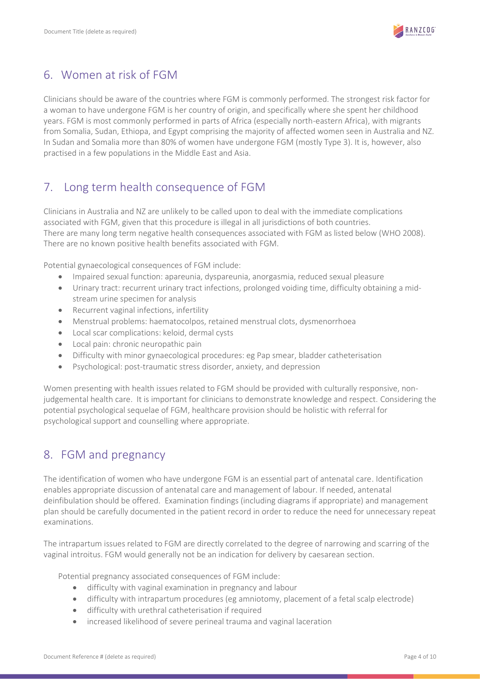

# <span id="page-3-0"></span>6. Women at risk of FGM

Clinicians should be aware of the countries where FGM is commonly performed. The strongest risk factor for a woman to have undergone FGM is her country of origin, and specifically where she spent her childhood years. FGM is most commonly performed in parts of Africa (especially north-eastern Africa), with migrants from Somalia, Sudan, Ethiopa, and Egypt comprising the majority of affected women seen in Australia and NZ. In Sudan and Somalia more than 80% of women have undergone FGM (mostly Type 3). It is, however, also practised in a few populations in the Middle East and Asia.

# <span id="page-3-1"></span>7. Long term health consequence of FGM

Clinicians in Australia and NZ are unlikely to be called upon to deal with the immediate complications associated with FGM, given that this procedure is illegal in all jurisdictions of both countries. There are many long term negative health consequences associated with FGM as listed below (WHO 2008). There are no known positive health benefits associated with FGM.

Potential gynaecological consequences of FGM include:

- Impaired sexual function: apareunia, dyspareunia, anorgasmia, reduced sexual pleasure
- Urinary tract: recurrent urinary tract infections, prolonged voiding time, difficulty obtaining a midstream urine specimen for analysis
- Recurrent vaginal infections, infertility
- Menstrual problems: haematocolpos, retained menstrual clots, dysmenorrhoea
- Local scar complications: keloid, dermal cysts
- Local pain: chronic neuropathic pain
- Difficulty with minor gynaecological procedures: eg Pap smear, bladder catheterisation
- Psychological: post-traumatic stress disorder, anxiety, and depression

Women presenting with health issues related to FGM should be provided with culturally responsive, nonjudgemental health care. It is important for clinicians to demonstrate knowledge and respect. Considering the potential psychological sequelae of FGM, healthcare provision should be holistic with referral for psychological support and counselling where appropriate.

### <span id="page-3-2"></span>8. FGM and pregnancy

The identification of women who have undergone FGM is an essential part of antenatal care. Identification enables appropriate discussion of antenatal care and management of labour. If needed, antenatal deinfibulation should be offered. Examination findings (including diagrams if appropriate) and management plan should be carefully documented in the patient record in order to reduce the need for unnecessary repeat examinations.

The intrapartum issues related to FGM are directly correlated to the degree of narrowing and scarring of the vaginal introitus. FGM would generally not be an indication for delivery by caesarean section.

Potential pregnancy associated consequences of FGM include:

- difficulty with vaginal examination in pregnancy and labour
- difficulty with intrapartum procedures (eg amniotomy, placement of a fetal scalp electrode)
- difficulty with urethral catheterisation if required
- increased likelihood of severe perineal trauma and vaginal laceration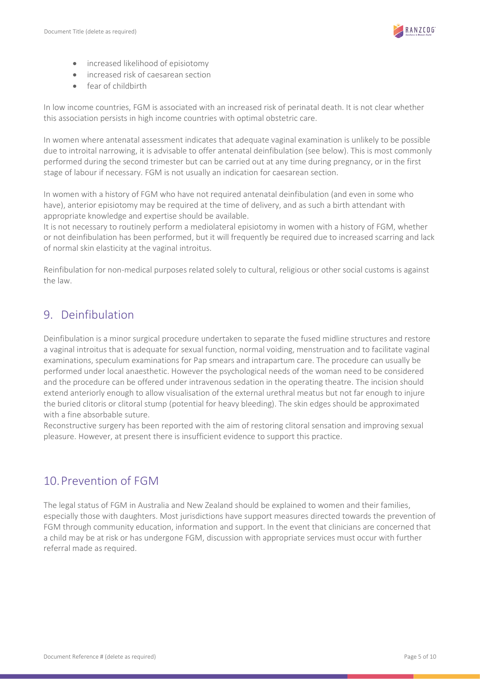

- increased likelihood of episiotomy
- increased risk of caesarean section
- fear of childbirth

In low income countries, FGM is associated with an increased risk of perinatal death. It is not clear whether this association persists in high income countries with optimal obstetric care.

In women where antenatal assessment indicates that adequate vaginal examination is unlikely to be possible due to introital narrowing, it is advisable to offer antenatal deinfibulation (see below). This is most commonly performed during the second trimester but can be carried out at any time during pregnancy, or in the first stage of labour if necessary. FGM is not usually an indication for caesarean section.

In women with a history of FGM who have not required antenatal deinfibulation (and even in some who have), anterior episiotomy may be required at the time of delivery, and as such a birth attendant with appropriate knowledge and expertise should be available.

It is not necessary to routinely perform a mediolateral episiotomy in women with a history of FGM, whether or not deinfibulation has been performed, but it will frequently be required due to increased scarring and lack of normal skin elasticity at the vaginal introitus.

Reinfibulation for non-medical purposes related solely to cultural, religious or other social customs is against the law.

# <span id="page-4-0"></span>9. Deinfibulation

Deinfibulation is a minor surgical procedure undertaken to separate the fused midline structures and restore a vaginal introitus that is adequate for sexual function, normal voiding, menstruation and to facilitate vaginal examinations, speculum examinations for Pap smears and intrapartum care. The procedure can usually be performed under local anaesthetic. However the psychological needs of the woman need to be considered and the procedure can be offered under intravenous sedation in the operating theatre. The incision should extend anteriorly enough to allow visualisation of the external urethral meatus but not far enough to injure the buried clitoris or clitoral stump (potential for heavy bleeding). The skin edges should be approximated with a fine absorbable suture.

Reconstructive surgery has been reported with the aim of restoring clitoral sensation and improving sexual pleasure. However, at present there is insufficient evidence to support this practice.

### <span id="page-4-1"></span>10.Prevention of FGM

The legal status of FGM in Australia and New Zealand should be explained to women and their families, especially those with daughters. Most jurisdictions have support measures directed towards the prevention of FGM through community education, information and support. In the event that clinicians are concerned that a child may be at risk or has undergone FGM, discussion with appropriate services must occur with further referral made as required.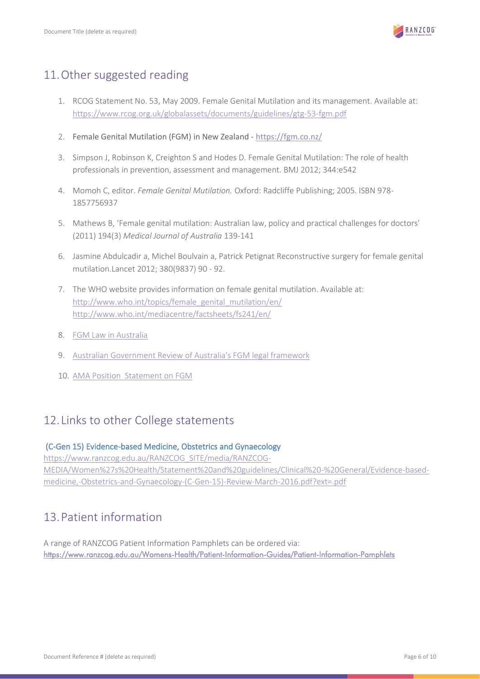

# <span id="page-5-0"></span>11.Other suggested reading

- 1. RCOG Statement No. 53, May 2009. Female Genital Mutilation and its management. Available at: <https://www.rcog.org.uk/globalassets/documents/guidelines/gtg-53-fgm.pdf>
- 2. Female Genital Mutilation (FGM) in New Zealand <https://fgm.co.nz/>
- 3. Simpson J, Robinson K, Creighton S and Hodes D. Female Genital Mutilation: The role of health professionals in prevention, assessment and management. BMJ 2012; 344:e542
- 4. Momoh C, editor. *Female Genital Mutilation.* Oxford: Radcliffe Publishing; 2005. ISBN 978- 1857756937
- 5. Mathews B, 'Female genital mutilation: Australian law, policy and practical challenges for doctors' (2011) 194(3) *Medical Journal of Australia* 139-141
- 6. [Jasmine Abdulcadir](http://www.lancet.com/search/results?fieldName=Authors&searchTerm=Jasmine+Abdulcadir) [a,](http://www.lancet.com/journals/lancet/article/PIIS0140-6736(12)60636-9/fulltext#aff1) [Michel Boulvain](http://www.lancet.com/search/results?fieldName=Authors&searchTerm=Michel+Boulvain) [a,](http://www.lancet.com/journals/lancet/article/PIIS0140-6736(12)60636-9/fulltext#aff1) [Patrick Petignat](http://www.lancet.com/search/results?fieldName=Authors&searchTerm=Patrick+Petignat) Reconstructive surgery for female genital mutilation.Lancet 2012; [380\(9837\)](http://www.lancet.com/journals/lancet/issue/vol380no9837/PIIS0140-6736(12)X6029-X) 90 - 92.
- 7. The WHO website provides information on female genital mutilation. Available at: [http://www.who.int/topics/female\\_genital\\_mutilation/en/](http://www.who.int/topics/female_genital_mutilation/en/) <http://www.who.int/mediacentre/factsheets/fs241/en/>
- 8. [FGM Law in Australia](http://nofgmoz.com/about-fgm-in-australia/fgm-law-in-australia/)
- 9. [Australian Government Review of Australia's FGM legal framework](https://www.ag.gov.au/Publications/Documents/ReviewofAustraliasfemalegenitalmutilationlegalframework/Review%20of%20Australias%20female%20genital%20mutilation%20legal%20framework.pdf)
- 10. [AMA Position Statement on FGM](https://ama.com.au/position-statement/female-genital-mutilation-2017)

### <span id="page-5-1"></span>12.Links to other College statements

### (C-Gen 15) Evidence-based Medicine, Obstetrics and Gynaecology

[https://www.ranzcog.edu.au/RANZCOG\\_SITE/media/RANZCOG-](https://www.ranzcog.edu.au/RANZCOG_SITE/media/RANZCOG-MEDIA/Women%27s%20Health/Statement%20and%20guidelines/Clinical%20-%20General/Evidence-based-medicine,-Obstetrics-and-Gynaecology-(C-Gen-15)-Review-March-2016.pdf?ext=.pdf)[MEDIA/Women%27s%20Health/Statement%20and%20guidelines/Clinical%20-%20General/Evidence-based](https://www.ranzcog.edu.au/RANZCOG_SITE/media/RANZCOG-MEDIA/Women%27s%20Health/Statement%20and%20guidelines/Clinical%20-%20General/Evidence-based-medicine,-Obstetrics-and-Gynaecology-(C-Gen-15)-Review-March-2016.pdf?ext=.pdf)[medicine,-Obstetrics-and-Gynaecology-\(C-Gen-15\)-Review-March-2016.pdf?ext=.pdf](https://www.ranzcog.edu.au/RANZCOG_SITE/media/RANZCOG-MEDIA/Women%27s%20Health/Statement%20and%20guidelines/Clinical%20-%20General/Evidence-based-medicine,-Obstetrics-and-Gynaecology-(C-Gen-15)-Review-March-2016.pdf?ext=.pdf)

# <span id="page-5-2"></span>13.Patient information

A range of RANZCOG Patient Information Pamphlets can be ordered via: <https://www.ranzcog.edu.au/Womens-Health/Patient-Information-Guides/Patient-Information-Pamphlets>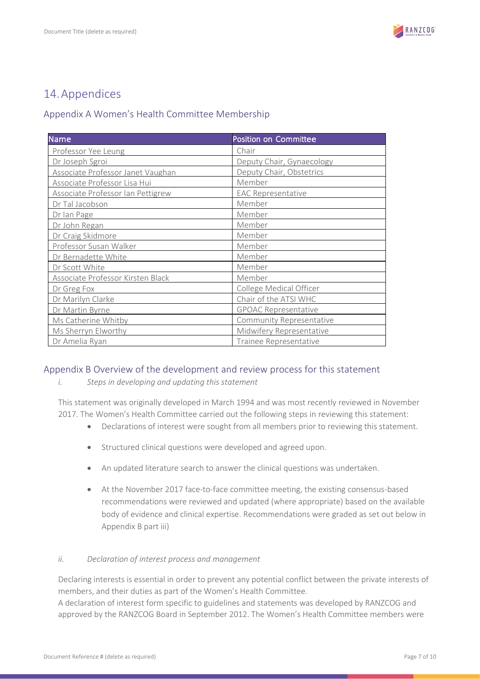

# <span id="page-6-0"></span>14.Appendices

### <span id="page-6-1"></span>Appendix A Women's Health Committee Membership

| <b>Name</b>                       | <b>Position on Committee</b> |
|-----------------------------------|------------------------------|
| Professor Yee Leung               | Chair                        |
| Dr Joseph Sgroi                   | Deputy Chair, Gynaecology    |
| Associate Professor Janet Vaughan | Deputy Chair, Obstetrics     |
| Associate Professor Lisa Hui      | Member                       |
| Associate Professor Ian Pettigrew | <b>EAC Representative</b>    |
| Dr Tal Jacobson                   | Member                       |
| Dr Ian Page                       | Member                       |
| Dr John Regan                     | Member                       |
| Dr Craig Skidmore                 | Member                       |
| Professor Susan Walker            | Member                       |
| Dr Bernadette White               | Member                       |
| Dr Scott White                    | Member                       |
| Associate Professor Kirsten Black | Member                       |
| Dr Greg Fox                       | College Medical Officer      |
| Dr Marilyn Clarke                 | Chair of the ATSI WHC        |
| Dr Martin Byrne                   | <b>GPOAC Representative</b>  |
| Ms Catherine Whitby               | Community Representative     |
| Ms Sherryn Elworthy               | Midwifery Representative     |
| Dr Amelia Ryan                    | Trainee Representative       |

### <span id="page-6-2"></span>Appendix B Overview of the development and review process for this statement

*i. Steps in developing and updating this statement*

This statement was originally developed in March 1994 and was most recently reviewed in November 2017. The Women's Health Committee carried out the following steps in reviewing this statement:

- Declarations of interest were sought from all members prior to reviewing this statement.
- Structured clinical questions were developed and agreed upon.
- An updated literature search to answer the clinical questions was undertaken.
- At the November 2017 face-to-face committee meeting, the existing consensus-based recommendations were reviewed and updated (where appropriate) based on the available body of evidence and clinical expertise. Recommendations were graded as set out below in Appendix B part iii)

### *ii. Declaration of interest process and management*

Declaring interests is essential in order to prevent any potential conflict between the private interests of members, and their duties as part of the Women's Health Committee.

A declaration of interest form specific to guidelines and statements was developed by RANZCOG and approved by the RANZCOG Board in September 2012. The Women's Health Committee members were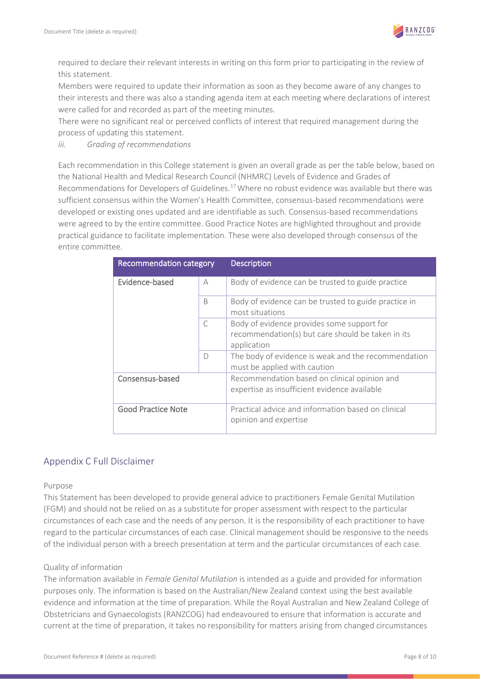

required to declare their relevant interests in writing on this form prior to participating in the review of this statement.

Members were required to update their information as soon as they become aware of any changes to their interests and there was also a standing agenda item at each meeting where declarations of interest were called for and recorded as part of the meeting minutes.

There were no significant real or perceived conflicts of interest that required management during the process of updating this statement.

*iii. Grading of recommendations*

Each recommendation in this College statement is given an overall grade as per the table below, based on the National Health and Medical Research Council (NHMRC) Levels of Evidence and Grades of Recommendations for Developers of Guidelines.<sup>17</sup> Where no robust evidence was available but there was sufficient consensus within the Women's Health Committee, consensus-based recommendations were developed or existing ones updated and are identifiable as such. Consensus-based recommendations were agreed to by the entire committee. Good Practice Notes are highlighted throughout and provide practical guidance to facilitate implementation. These were also developed through consensus of the entire committee.

| <b>Recommendation category</b> |           | <b>Description</b>                                                                                             |
|--------------------------------|-----------|----------------------------------------------------------------------------------------------------------------|
| Evidence-based                 | A         | Body of evidence can be trusted to guide practice                                                              |
|                                | B         | Body of evidence can be trusted to guide practice in<br>most situations                                        |
|                                | $\subset$ | Body of evidence provides some support for<br>recommendation(s) but care should be taken in its<br>application |
|                                | $\bigcap$ | The body of evidence is weak and the recommendation<br>must be applied with caution                            |
| Consensus-based                |           | Recommendation based on clinical opinion and<br>expertise as insufficient evidence available                   |
| <b>Good Practice Note</b>      |           | Practical advice and information based on clinical<br>opinion and expertise                                    |

### <span id="page-7-0"></span>Appendix C Full Disclaimer

#### Purpose

This Statement has been developed to provide general advice to practitioners Female Genital Mutilation (FGM) and should not be relied on as a substitute for proper assessment with respect to the particular circumstances of each case and the needs of any person. It is the responsibility of each practitioner to have regard to the particular circumstances of each case. Clinical management should be responsive to the needs of the individual person with a breech presentation at term and the particular circumstances of each case.

### Quality of information

The information available in *Female Genital Mutilation* is intended as a guide and provided for information purposes only. The information is based on the Australian/New Zealand context using the best available evidence and information at the time of preparation. While the Royal Australian and New Zealand College of Obstetricians and Gynaecologists (RANZCOG) had endeavoured to ensure that information is accurate and current at the time of preparation, it takes no responsibility for matters arising from changed circumstances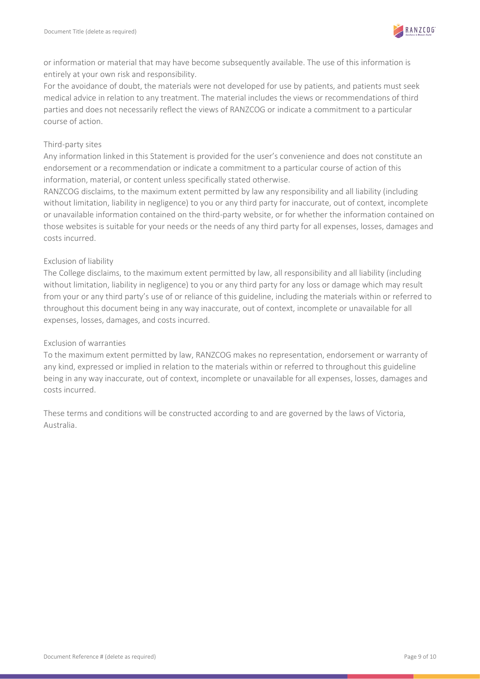

or information or material that may have become subsequently available. The use of this information is entirely at your own risk and responsibility.

For the avoidance of doubt, the materials were not developed for use by patients, and patients must seek medical advice in relation to any treatment. The material includes the views or recommendations of third parties and does not necessarily reflect the views of RANZCOG or indicate a commitment to a particular course of action.

#### Third-party sites

Any information linked in this Statement is provided for the user's convenience and does not constitute an endorsement or a recommendation or indicate a commitment to a particular course of action of this information, material, or content unless specifically stated otherwise.

RANZCOG disclaims, to the maximum extent permitted by law any responsibility and all liability (including without limitation, liability in negligence) to you or any third party for inaccurate, out of context, incomplete or unavailable information contained on the third-party website, or for whether the information contained on those websites is suitable for your needs or the needs of any third party for all expenses, losses, damages and costs incurred.

### Exclusion of liability

The College disclaims, to the maximum extent permitted by law, all responsibility and all liability (including without limitation, liability in negligence) to you or any third party for any loss or damage which may result from your or any third party's use of or reliance of this guideline, including the materials within or referred to throughout this document being in any way inaccurate, out of context, incomplete or unavailable for all expenses, losses, damages, and costs incurred.

#### Exclusion of warranties

To the maximum extent permitted by law, RANZCOG makes no representation, endorsement or warranty of any kind, expressed or implied in relation to the materials within or referred to throughout this guideline being in any way inaccurate, out of context, incomplete or unavailable for all expenses, losses, damages and costs incurred.

These terms and conditions will be constructed according to and are governed by the laws of Victoria, Australia.